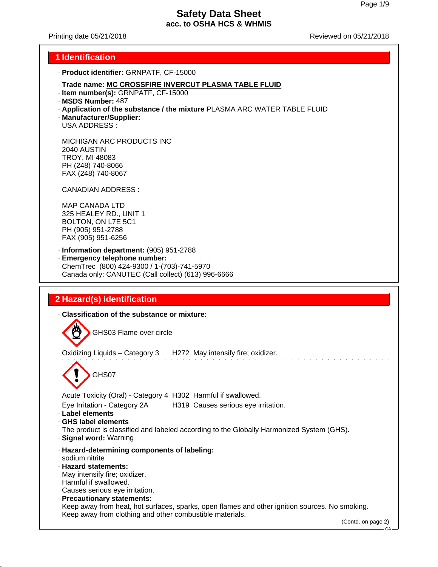Printing date 05/21/2018 Reviewed on 05/21/2018

### **1 Identification**

- · **Product identifier:** GRNPATF, CF-15000
- · **Trade name: MC CROSSFIRE INVERCUT PLASMA TABLE FLUID**
- · **Item number(s):** GRNPATF, CF-15000
- · **MSDS Number:** 487
- · **Application of the substance / the mixture** PLASMA ARC WATER TABLE FLUID
- · **Manufacturer/Supplier:**
- USA ADDRESS :

MICHIGAN ARC PRODUCTS INC 2040 AUSTIN TROY, MI 48083 PH (248) 740-8066 FAX (248) 740-8067

CANADIAN ADDRESS :

MAP CANADA LTD 325 HEALEY RD., UNIT 1 BOLTON, ON L7E 5C1 PH (905) 951-2788 FAX (905) 951-6256

- · **Information department:** (905) 951-2788
- · **Emergency telephone number:** ChemTrec (800) 424-9300 / 1-(703)-741-5970 Canada only: CANUTEC (Call collect) (613) 996-6666

# **2 Hazard(s) identification**

· **Classification of the substance or mixture:**

GHS03 Flame over circle

Oxidizing Liquids – Category 3 H272 May intensify fire; oxidizer.

GHS07

Acute Toxicity (Oral) - Category 4 H302 Harmful if swallowed.

Eye Irritation - Category 2A H319 Causes serious eye irritation.

- · **Label elements**
- · **GHS label elements**

The product is classified and labeled according to the Globally Harmonized System (GHS).

- · **Signal word:** Warning
- · **Hazard-determining components of labeling:** sodium nitrite · **Hazard statements:**
- May intensify fire; oxidizer.

Harmful if swallowed.

Causes serious eye irritation.

· **Precautionary statements:** Keep away from heat, hot surfaces, sparks, open flames and other ignition sources. No smoking. Keep away from clothing and other combustible materials.

(Contd. on page 2)

 $C_A$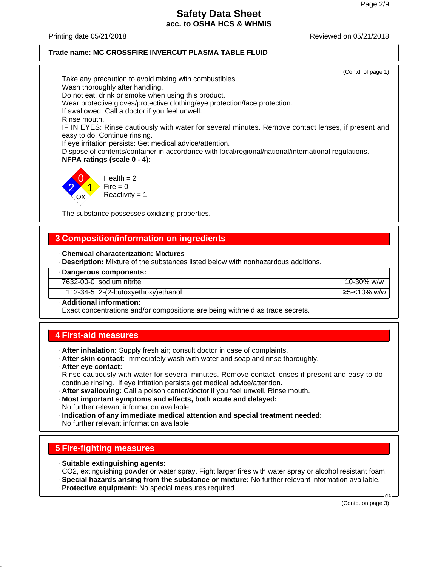Printing date 05/21/2018 Reviewed on 05/21/2018

#### **Trade name: MC CROSSFIRE INVERCUT PLASMA TABLE FLUID**

(Contd. of page 1) Take any precaution to avoid mixing with combustibles. Wash thoroughly after handling. Do not eat, drink or smoke when using this product. Wear protective gloves/protective clothing/eye protection/face protection. If swallowed: Call a doctor if you feel unwell. Rinse mouth. IF IN EYES: Rinse cautiously with water for several minutes. Remove contact lenses, if present and easy to do. Continue rinsing. If eye irritation persists: Get medical advice/attention. Dispose of contents/container in accordance with local/regional/national/international regulations. · **NFPA ratings (scale 0 - 4):** 0  $Health = 2$ 



The substance possesses oxidizing properties.

## **3 Composition/information on ingredients**

#### · **Chemical characterization: Mixtures**

- · **Description:** Mixture of the substances listed below with nonhazardous additions.
- · **Dangerous components:**
- 7632-00-0 sodium nitrite 10-30% w/w
	- 112-34-5 2-(2-butoxyethoxy)ethanol ≥5-<10% w/w
- · **Additional information:**

Exact concentrations and/or compositions are being withheld as trade secrets.

## **4 First-aid measures**

- · **After inhalation:** Supply fresh air; consult doctor in case of complaints.
- · **After skin contact:** Immediately wash with water and soap and rinse thoroughly.
- · **After eye contact:** Rinse cautiously with water for several minutes. Remove contact lenses if present and easy to do continue rinsing. If eye irritation persists get medical advice/attention.
- · **After swallowing:** Call a poison center/doctor if you feel unwell. Rinse mouth.
- · **Most important symptoms and effects, both acute and delayed:** No further relevant information available.
- · **Indication of any immediate medical attention and special treatment needed:** No further relevant information available.

# **5 Fire-fighting measures**

- · **Suitable extinguishing agents:**
- CO2, extinguishing powder or water spray. Fight larger fires with water spray or alcohol resistant foam.
- · **Special hazards arising from the substance or mixture:** No further relevant information available.
- · **Protective equipment:** No special measures required.

(Contd. on page 3)

CA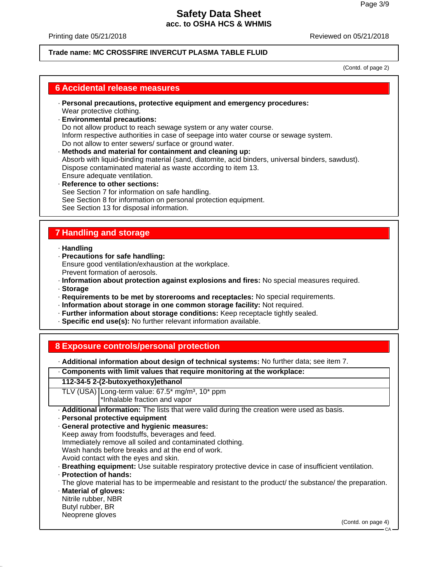Printing date 05/21/2018 Reviewed on 05/21/2018

### **Trade name: MC CROSSFIRE INVERCUT PLASMA TABLE FLUID**

(Contd. of page 2)

### **6 Accidental release measures**

- · **Personal precautions, protective equipment and emergency procedures:** Wear protective clothing.
- · **Environmental precautions:** Do not allow product to reach sewage system or any water course. Inform respective authorities in case of seepage into water course or sewage system. Do not allow to enter sewers/ surface or ground water.
- · **Methods and material for containment and cleaning up:** Absorb with liquid-binding material (sand, diatomite, acid binders, universal binders, sawdust). Dispose contaminated material as waste according to item 13. Ensure adequate ventilation. · **Reference to other sections:**
- See Section 7 for information on safe handling. See Section 8 for information on personal protection equipment. See Section 13 for disposal information.

# **7 Handling and storage**

· **Handling**

- · **Precautions for safe handling:** Ensure good ventilation/exhaustion at the workplace. Prevent formation of aerosols.
- · **Information about protection against explosions and fires:** No special measures required.
- · **Storage**
- · **Requirements to be met by storerooms and receptacles:** No special requirements.
- · **Information about storage in one common storage facility:** Not required.
- · **Further information about storage conditions:** Keep receptacle tightly sealed.
- · **Specific end use(s):** No further relevant information available.

## **8 Exposure controls/personal protection**

· **Additional information about design of technical systems:** No further data; see item 7.

|  |  |  | Components with limit values that require monitoring at the workplace: |  |  |
|--|--|--|------------------------------------------------------------------------|--|--|
|  |  |  |                                                                        |  |  |

#### **112-34-5 2-(2-butoxyethoxy)ethanol**

TLV (USA) Long-term value:  $67.5*$  mg/m<sup>3</sup>,  $10*$  ppm \*Inhalable fraction and vapor

· **Additional information:** The lists that were valid during the creation were used as basis.

· **Personal protective equipment**

· **General protective and hygienic measures:** Keep away from foodstuffs, beverages and feed. Immediately remove all soiled and contaminated clothing. Wash hands before breaks and at the end of work. Avoid contact with the eyes and skin.

- · **Breathing equipment:** Use suitable respiratory protective device in case of insufficient ventilation.
- · **Protection of hands:**
- The glove material has to be impermeable and resistant to the product/ the substance/ the preparation. · **Material of gloves:**
- Nitrile rubber, NBR

Butyl rubber, BR

#### Neoprene gloves

(Contd. on page 4)

**CA**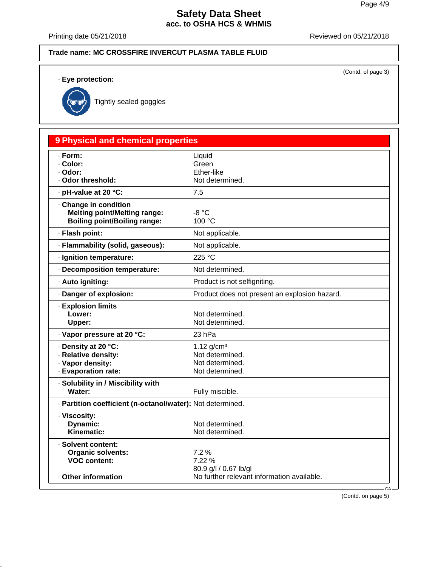(Contd. of page 3)

## **Safety Data Sheet acc. to OSHA HCS & WHMIS**

Printing date 05/21/2018 Reviewed on 05/21/2018

#### **Trade name: MC CROSSFIRE INVERCUT PLASMA TABLE FLUID**

· **Eye protection:**



Tightly sealed goggles

# **9 Physical and chemical properties** · **Form:** Liquid · **Color:** Green · **Odor:** Ether-like · Odor threshold: Not determined. · **pH-value at 20 °C:** 7.5 · **Change in condition Melting point/Melting range:**  $-8 °C$ <br>**Boiling point/Boiling range:**  $100 °C$ **Boiling point/Boiling range:** · **Flash point:** Not applicable. · **Flammability (solid, gaseous):** Not applicable. · **Ignition temperature:** 225 °C · **Decomposition temperature:** Not determined. · **Auto igniting:** Product is not selfigniting. · **Danger of explosion:** Product does not present an explosion hazard. · **Explosion limits Lower:** Not determined.<br>
Upper: Not determined. Not determined. · **Vapor pressure at 20 °C:** 23 hPa **· Density at 20 °C:** 1.12 g/cm<sup>3</sup> · **Relative density:** Not determined. · Vapor density: Not determined. · **Evaporation rate:** Not determined. · **Solubility in / Miscibility with** Water: Water: Fully miscible. · **Partition coefficient (n-octanol/water):** Not determined. · **Viscosity: Dynamic:** Not determined. Kinematic: Not determined. · **Solvent content: Organic solvents:** 7.2 %<br> **VOC content:** 7.22 % **VOC content:** 80.9 g/l / 0.67 lb/gl · Other information **Outable** No further relevant information available.

(Contd. on page 5)

CA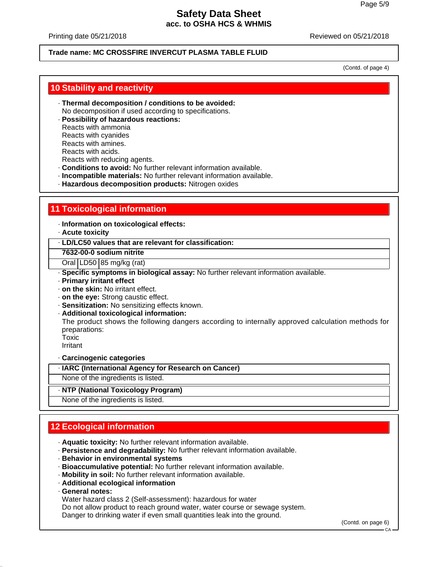Printing date 05/21/2018 Reviewed on 05/21/2018

### **Trade name: MC CROSSFIRE INVERCUT PLASMA TABLE FLUID**

(Contd. of page 4)

### **10 Stability and reactivity**

- · **Thermal decomposition / conditions to be avoided:** No decomposition if used according to specifications.
- · **Possibility of hazardous reactions:**
- Reacts with ammonia
- Reacts with cyanides
- Reacts with amines.
- Reacts with acids.
- Reacts with reducing agents.
- · **Conditions to avoid:** No further relevant information available.
- · **Incompatible materials:** No further relevant information available.
- · **Hazardous decomposition products:** Nitrogen oxides

# **11 Toxicological information**

· **Information on toxicological effects:**

- · **Acute toxicity**
- · **LD/LC50 values that are relevant for classification:**

**7632-00-0 sodium nitrite**

Oral LD50 85 mg/kg (rat)

- · **Specific symptoms in biological assay:** No further relevant information available.
- · **Primary irritant effect**
- · **on the skin:** No irritant effect.
- · **on the eye:** Strong caustic effect.
- · **Sensitization:** No sensitizing effects known.
- · **Additional toxicological information:**

The product shows the following dangers according to internally approved calculation methods for preparations:

Toxic

Irritant

· **Carcinogenic categories**

· **IARC (International Agency for Research on Cancer)**

None of the ingredients is listed.

### · **NTP (National Toxicology Program)**

None of the ingredients is listed.

# **12 Ecological information**

- · **Aquatic toxicity:** No further relevant information available.
- · **Persistence and degradability:** No further relevant information available.
- · **Behavior in environmental systems**
- · **Bioaccumulative potential:** No further relevant information available.
- · **Mobility in soil:** No further relevant information available.
- · **Additional ecological information**
- · **General notes:**

Water hazard class 2 (Self-assessment): hazardous for water

Do not allow product to reach ground water, water course or sewage system.

Danger to drinking water if even small quantities leak into the ground.

(Contd. on page 6)

CA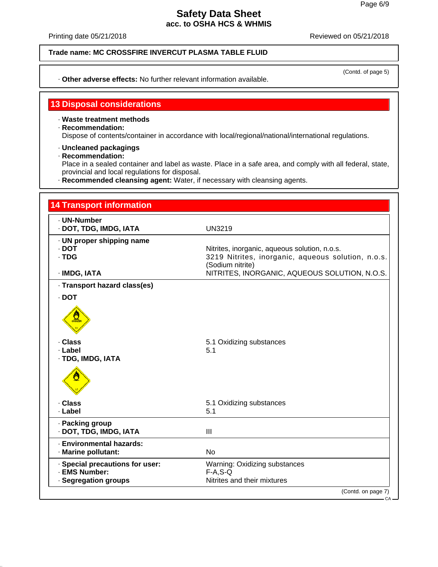Printing date 05/21/2018 **Printing date 05/21/2018** 

**Trade name: MC CROSSFIRE INVERCUT PLASMA TABLE FLUID**

· **Other adverse effects:** No further relevant information available.

(Contd. of page 5)

## **13 Disposal considerations**

- · **Waste treatment methods**
- · **Recommendation:** Dispose of contents/container in accordance with local/regional/national/international regulations.
- · **Uncleaned packagings**
- · **Recommendation:**

Place in a sealed container and label as waste. Place in a safe area, and comply with all federal, state, provincial and local regulations for disposal.

· **Recommended cleansing agent:** Water, if necessary with cleansing agents.

| <b>14 Transport information</b>                         |                                                                                                                         |  |  |  |  |
|---------------------------------------------------------|-------------------------------------------------------------------------------------------------------------------------|--|--|--|--|
| · UN-Number<br>· DOT, TDG, IMDG, IATA                   | <b>UN3219</b>                                                                                                           |  |  |  |  |
| · UN proper shipping name<br>$\cdot$ DOT<br>$\cdot$ TDG | Nitrites, inorganic, aqueous solution, n.o.s.<br>3219 Nitrites, inorganic, aqueous solution, n.o.s.<br>(Sodium nitrite) |  |  |  |  |
| · IMDG, IATA                                            | NITRITES, INORGANIC, AQUEOUS SOLUTION, N.O.S.                                                                           |  |  |  |  |
| · Transport hazard class(es)                            |                                                                                                                         |  |  |  |  |
| $\cdot$ DOT                                             |                                                                                                                         |  |  |  |  |
| $\frac{1}{\sqrt{2}}$                                    |                                                                                                                         |  |  |  |  |
| · Class                                                 | 5.1 Oxidizing substances                                                                                                |  |  |  |  |
| · Label<br>· TDG, IMDG, IATA                            | 5.1                                                                                                                     |  |  |  |  |
|                                                         |                                                                                                                         |  |  |  |  |
| · Class                                                 | 5.1 Oxidizing substances                                                                                                |  |  |  |  |
| · Label                                                 | 5.1                                                                                                                     |  |  |  |  |
| · Packing group<br>· DOT, TDG, IMDG, IATA               | III                                                                                                                     |  |  |  |  |
| · Environmental hazards:                                |                                                                                                                         |  |  |  |  |
| · Marine pollutant:                                     | <b>No</b>                                                                                                               |  |  |  |  |
| · Special precautions for user:<br>· EMS Number:        | Warning: Oxidizing substances<br>$F-A, S-Q$                                                                             |  |  |  |  |
|                                                         | Nitrites and their mixtures                                                                                             |  |  |  |  |
| · Segregation groups                                    | (Contd. on page 7)                                                                                                      |  |  |  |  |

CA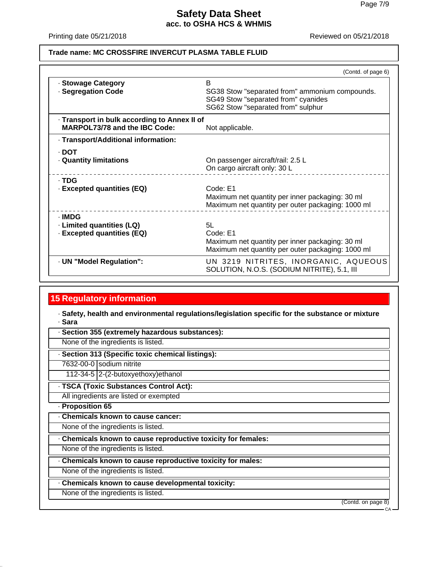Printing date 05/21/2018 Reviewed on 05/21/2018

#### **Trade name: MC CROSSFIRE INVERCUT PLASMA TABLE FLUID**

|                                                                                      | (Contd. of page 6)                                                                                                               |  |  |
|--------------------------------------------------------------------------------------|----------------------------------------------------------------------------------------------------------------------------------|--|--|
| · Stowage Category<br>· Segregation Code                                             | B<br>SG38 Stow "separated from" ammonium compounds.<br>SG49 Stow "separated from" cyanides<br>SG62 Stow "separated from" sulphur |  |  |
| · Transport in bulk according to Annex II of<br><b>MARPOL73/78 and the IBC Code:</b> | Not applicable.                                                                                                                  |  |  |
| · Transport/Additional information:                                                  |                                                                                                                                  |  |  |
| - DOT<br><b>Quantity limitations</b>                                                 | On passenger aircraft/rail: 2.5 L<br>On cargo aircraft only: 30 L                                                                |  |  |
| · TDG<br>- Excepted quantities (EQ)                                                  | Code: E1<br>Maximum net quantity per inner packaging: 30 ml<br>Maximum net quantity per outer packaging: 1000 ml                 |  |  |
| · IMDG<br>· Limited quantities (LQ)<br>· Excepted quantities (EQ)                    | 5I.<br>Code: E1<br>Maximum net quantity per inner packaging: 30 ml<br>Maximum net quantity per outer packaging: 1000 ml          |  |  |
| · UN "Model Regulation":                                                             | UN 3219 NITRITES, INORGANIC, AQUEOUS<br>SOLUTION, N.O.S. (SODIUM NITRITE), 5.1, III                                              |  |  |

## **15 Regulatory information**

· **Safety, health and environmental regulations/legislation specific for the substance or mixture** · **Sara**

· **Section 355 (extremely hazardous substances):**

None of the ingredients is listed.

· **Section 313 (Specific toxic chemical listings):**

7632-00-0 sodium nitrite

112-34-5 2-(2-butoxyethoxy)ethanol

· **TSCA (Toxic Substances Control Act):**

All ingredients are listed or exempted

· **Proposition 65**

· **Chemicals known to cause cancer:**

None of the ingredients is listed.

· **Chemicals known to cause reproductive toxicity for females:**

None of the ingredients is listed.

· **Chemicals known to cause reproductive toxicity for males:**

None of the ingredients is listed.

· **Chemicals known to cause developmental toxicity:**

None of the ingredients is listed.

(Contd. on page 8)

 $CA$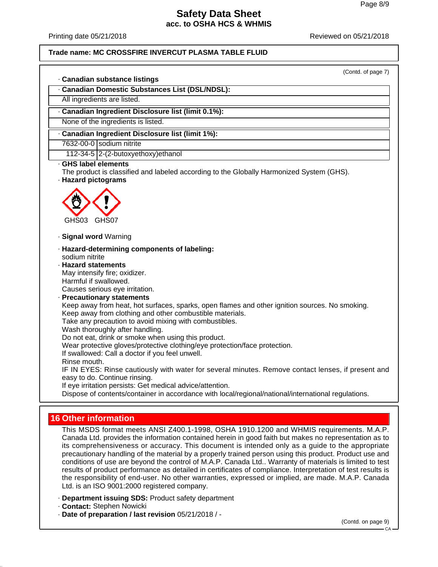Printing date 05/21/2018 Reviewed on 05/21/2018

**Trade name: MC CROSSFIRE INVERCUT PLASMA TABLE FLUID**

(Contd. of page 7)

· **Canadian substance listings**

· **Canadian Domestic Substances List (DSL/NDSL):**

All ingredients are listed.

· **Canadian Ingredient Disclosure list (limit 0.1%):**

None of the ingredients is listed.

· **Canadian Ingredient Disclosure list (limit 1%):**

7632-00-0 sodium nitrite

112-34-5 2-(2-butoxyethoxy)ethanol

#### · **GHS label elements**

The product is classified and labeled according to the Globally Harmonized System (GHS). · **Hazard pictograms**

GHS03 GHS07

· **Signal word** Warning

- · **Hazard-determining components of labeling:** sodium nitrite
- · **Hazard statements** May intensify fire; oxidizer. Harmful if swallowed.

Causes serious eye irritation.

· **Precautionary statements** Keep away from heat, hot surfaces, sparks, open flames and other ignition sources. No smoking. Keep away from clothing and other combustible materials. Take any precaution to avoid mixing with combustibles. Wash thoroughly after handling. Do not eat, drink or smoke when using this product. Wear protective gloves/protective clothing/eye protection/face protection. If swallowed: Call a doctor if you feel unwell. Rinse mouth. IF IN EYES: Rinse cautiously with water for several minutes. Remove contact lenses, if present and easy to do. Continue rinsing. If eye irritation persists: Get medical advice/attention. Dispose of contents/container in accordance with local/regional/national/international regulations.

# **16 Other information**

This MSDS format meets ANSI Z400.1-1998, OSHA 1910.1200 and WHMIS requirements. M.A.P. Canada Ltd. provides the information contained herein in good faith but makes no representation as to its comprehensiveness or accuracy. This document is intended only as a guide to the appropriate precautionary handling of the material by a properly trained person using this product. Product use and conditions of use are beyond the control of M.A.P. Canada Ltd.. Warranty of materials is limited to test results of product performance as detailed in certificates of compliance. Interpretation of test results is the responsibility of end-user. No other warranties, expressed or implied, are made. M.A.P. Canada Ltd. is an ISO 9001:2000 registered company.

- · **Department issuing SDS:** Product safety department
- · **Contact:** Stephen Nowicki
- · **Date of preparation / last revision** 05/21/2018 / -

(Contd. on page 9)

CA